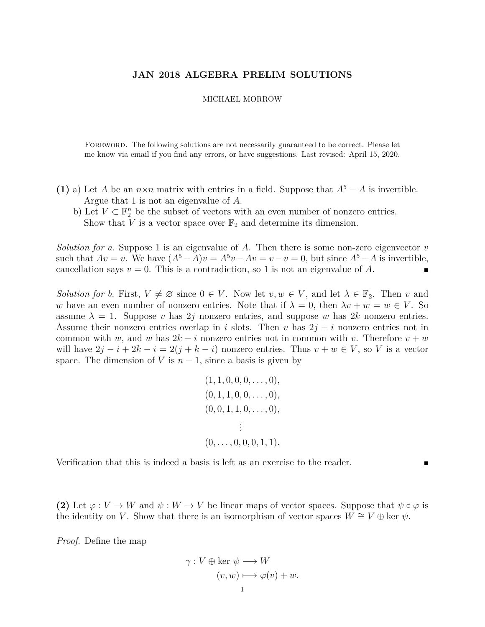## **JAN 2018 ALGEBRA PRELIM SOLUTIONS**

## MICHAEL MORROW

FOREWORD. The following solutions are not necessarily guaranteed to be correct. Please let me know via email if you find any errors, or have suggestions. Last revised: April 15, 2020.

- (1) a) Let *A* be an  $n \times n$  matrix with entries in a field. Suppose that  $A^5 A$  is invertible. Argue that 1 is not an eigenvalue of *A*.
	- b) Let  $V \subset \mathbb{F}_2^n$  be the subset of vectors with an even number of nonzero entries. Show that *V* is a vector space over  $\mathbb{F}_2$  and determine its dimension.

*Solution for a.* Suppose 1 is an eigenvalue of *A*. Then there is some non-zero eigenvector *v* such that  $Av = v$ . We have  $(A^5 - A)v = A^5v - Av = v - v = 0$ , but since  $A^5 - A$  is invertible, cancellation says  $v = 0$ . This is a contradiction, so 1 is not an eigenvalue of A.

*Solution for b.* First,  $V \neq \emptyset$  since  $0 \in V$ . Now let  $v, w \in V$ , and let  $\lambda \in \mathbb{F}_2$ . Then *v* and *w* have an even number of nonzero entries. Note that if  $\lambda = 0$ , then  $\lambda v + w = w \in V$ . So assume  $\lambda = 1$ . Suppose *v* has 2*j* nonzero entries, and suppose *w* has 2*k* nonzero entries. Assume their nonzero entries overlap in *i* slots. Then *v* has 2*j* − *i* nonzero entries not in common with *w*, and *w* has  $2k - i$  nonzero entries not in common with *v*. Therefore  $v + w$ will have  $2j - i + 2k - i = 2(j + k - i)$  nonzero entries. Thus  $v + w \in V$ , so V is a vector space. The dimension of *V* is  $n-1$ , since a basis is given by

$$
(1, 1, 0, 0, 0, \ldots, 0),
$$
  
\n
$$
(0, 1, 1, 0, 0, \ldots, 0),
$$
  
\n
$$
(0, 0, 1, 1, 0, \ldots, 0),
$$
  
\n
$$
\vdots
$$
  
\n
$$
(0, \ldots, 0, 0, 0, 1, 1).
$$

Verification that this is indeed a basis is left as an exercise to the reader.

**(2)** Let  $\varphi: V \to W$  and  $\psi: W \to V$  be linear maps of vector spaces. Suppose that  $\psi \circ \varphi$  is the identity on *V*. Show that there is an isomorphism of vector spaces  $W \cong V \oplus \ker \psi$ .

*Proof.* Define the map

$$
\gamma: V \oplus \ker \psi \longrightarrow W
$$

$$
(v, w) \longmapsto \varphi(v) + w.
$$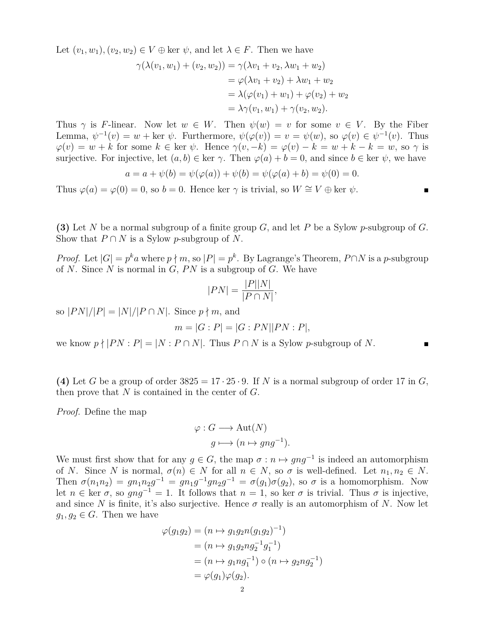Let  $(v_1, w_1), (v_2, w_2) \in V \oplus \text{ker } \psi$ , and let  $\lambda \in F$ . Then we have

$$
\gamma(\lambda(v_1, w_1) + (v_2, w_2)) = \gamma(\lambda v_1 + v_2, \lambda w_1 + w_2)
$$
  
=  $\varphi(\lambda v_1 + v_2) + \lambda w_1 + w_2$   
=  $\lambda(\varphi(v_1) + w_1) + \varphi(v_2) + w_2$   
=  $\lambda \gamma(v_1, w_1) + \gamma(v_2, w_2)$ .

Thus  $\gamma$  is *F*-linear. Now let  $w \in W$ . Then  $\psi(w) = v$  for some  $v \in V$ . By the Fiber Lemma,  $\psi^{-1}(v) = w + \text{ker } \psi$ . Furthermore,  $\psi(\varphi(v)) = v = \psi(w)$ , so  $\varphi(v) \in \psi^{-1}(v)$ . Thus  $\varphi(v) = w + k$  for some  $k \in \text{ker } \psi$ . Hence  $\gamma(v, -k) = \varphi(v) - k = w + k - k = w$ , so  $\gamma$  is surjective. For injective, let  $(a, b) \in \text{ker } \gamma$ . Then  $\varphi(a) + b = 0$ , and since  $b \in \text{ker } \psi$ , we have

$$
a = a + \psi(b) = \psi(\varphi(a)) + \psi(b) = \psi(\varphi(a) + b) = \psi(0) = 0.
$$

Thus  $\varphi(a) = \varphi(0) = 0$ , so  $b = 0$ . Hence ker  $\gamma$  is trivial, so  $W \cong V \oplus \ker \psi$ .

**(3)** Let *N* be a normal subgroup of a finite group *G*, and let *P* be a Sylow *p*-subgroup of *G*. Show that  $P \cap N$  is a Sylow *p*-subgroup of N.

*Proof.* Let  $|G| = p^k a$  where  $p \nmid m$ , so  $|P| = p^k$ . By Lagrange's Theorem,  $P \cap N$  is a *p*-subgroup of *N*. Since *N* is normal in *G*, *P N* is a subgroup of *G*. We have

$$
|PN| = \frac{|P||N|}{|P \cap N|},
$$

so  $|PN|/|P| = |N|/|P \cap N|$ . Since  $p \nmid m$ , and

$$
m = |G : P| = |G : PN||PN : P|,
$$

we know  $p \nmid |PN : P| = |N : P \cap N|$ . Thus  $P \cap N$  is a Sylow *p*-subgroup of *N*.

(4) Let *G* be a group of order  $3825 = 17 \cdot 25 \cdot 9$ . If *N* is a normal subgroup of order 17 in *G*, then prove that *N* is contained in the center of *G*.

*Proof.* Define the map

$$
\varphi : G \longrightarrow \text{Aut}(N)
$$

$$
g \longmapsto (n \mapsto gng^{-1}).
$$

We must first show that for any  $g \in G$ , the map  $\sigma : n \mapsto gng^{-1}$  is indeed an automorphism of *N*. Since *N* is normal,  $\sigma(n) \in N$  for all  $n \in N$ , so  $\sigma$  is well-defined. Let  $n_1, n_2 \in N$ . Then  $\sigma(n_1 n_2) = g n_1 n_2 g^{-1} = g n_1 g^{-1} g n_2 g^{-1} = \sigma(g_1) \sigma(g_2)$ , so  $\sigma$  is a homomorphism. Now let  $n \in \text{ker } \sigma$ , so  $gng^{-1} = 1$ . It follows that  $n = 1$ , so ker  $\sigma$  is trivial. Thus  $\sigma$  is injective, and since N is finite, it's also surjective. Hence  $\sigma$  really is an automorphism of N. Now let  $g_1, g_2 \in G$ . Then we have

$$
\varphi(g_1 g_2) = (n \mapsto g_1 g_2 n (g_1 g_2)^{-1})
$$
  
=  $(n \mapsto g_1 g_2 n g_2^{-1} g_1^{-1})$   
=  $(n \mapsto g_1 n g_1^{-1}) \circ (n \mapsto g_2 n g_2^{-1})$   
=  $\varphi(g_1)\varphi(g_2).$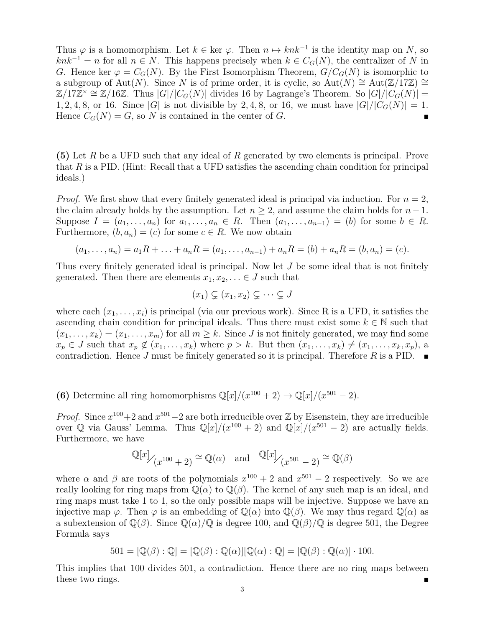Thus  $\varphi$  is a homomorphism. Let  $k \in \text{ker } \varphi$ . Then  $n \mapsto knk^{-1}$  is the identity map on *N*, so  $knk^{-1} = n$  for all  $n \in N$ . This happens precisely when  $k \in C_G(N)$ , the centralizer of *N* in *G*. Hence ker  $\varphi = C_G(N)$ . By the First Isomorphism Theorem,  $G/C_G(N)$  is isomorphic to a subgroup of Aut(*N*). Since *N* is of prime order, it is cyclic, so Aut(*N*) ≅ Aut( $\mathbb{Z}/17\mathbb{Z}$ ) ≅  $\mathbb{Z}/17\mathbb{Z}^{\times} \cong \mathbb{Z}/16\mathbb{Z}$ . Thus  $|G|/|C_G(N)|$  divides 16 by Lagrange's Theorem. So  $|G|/|C_G(N)| =$ 1, 2, 4, 8, or 16. Since |*G*| is not divisible by 2, 4, 8, or 16, we must have  $|G|/|C_G(N)| = 1$ . Hence  $C_G(N) = G$ , so N is contained in the center of G.

**(5)** Let *R* be a UFD such that any ideal of *R* generated by two elements is principal. Prove that *R* is a PID. (Hint: Recall that a UFD satisfies the ascending chain condition for principal ideals.)

*Proof.* We first show that every finitely generated ideal is principal via induction. For  $n = 2$ , the claim already holds by the assumption. Let  $n \geq 2$ , and assume the claim holds for  $n-1$ . Suppose  $I = (a_1, \ldots, a_n)$  for  $a_1, \ldots, a_n \in R$ . Then  $(a_1, \ldots, a_{n-1}) = (b)$  for some  $b \in R$ . Furthermore,  $(b, a_n) = (c)$  for some  $c \in R$ . We now obtain

$$
(a_1, \ldots, a_n) = a_1 R + \ldots + a_n R = (a_1, \ldots, a_{n-1}) + a_n R = (b) + a_n R = (b, a_n) = (c).
$$

Thus every finitely generated ideal is principal. Now let *J* be some ideal that is not finitely generated. Then there are elements  $x_1, x_2, \ldots \in J$  such that

$$
(x_1) \subsetneq (x_1, x_2) \subsetneq \cdots \subsetneq J
$$

where each  $(x_1, \ldots, x_i)$  is principal (via our previous work). Since R is a UFD, it satisfies the ascending chain condition for principal ideals. Thus there must exist some  $k \in \mathbb{N}$  such that  $(x_1, \ldots, x_k) = (x_1, \ldots, x_m)$  for all  $m \geq k$ . Since *J* is not finitely generated, we may find some  $x_p \in J$  such that  $x_p \notin (x_1, \ldots, x_k)$  where  $p > k$ . But then  $(x_1, \ldots, x_k) \neq (x_1, \ldots, x_k, x_p)$ , a contradiction. Hence *J* must be finitely generated so it is principal. Therefore *R* is a PID.

**(6)** Determine all ring homomorphisms  $\mathbb{Q}[x]/(x^{100} + 2) \to \mathbb{Q}[x]/(x^{501} - 2)$ .

*Proof.* Since  $x^{100} + 2$  and  $x^{501} - 2$  are both irreducible over Z by Eisenstein, they are irreducible over Q via Gauss' Lemma. Thus  $\mathbb{Q}[x]/(x^{100} + 2)$  and  $\mathbb{Q}[x]/(x^{501} - 2)$  are actually fields. Furthermore, we have

$$
\mathbb{Q}[x] / (x^{100} + 2) \cong \mathbb{Q}(\alpha)
$$
 and  $\mathbb{Q}[x] / (x^{501} - 2) \cong \mathbb{Q}(\beta)$ 

where  $\alpha$  and  $\beta$  are roots of the polynomials  $x^{100} + 2$  and  $x^{501} - 2$  respectively. So we are really looking for ring maps from  $\mathbb{Q}(\alpha)$  to  $\mathbb{Q}(\beta)$ . The kernel of any such map is an ideal, and ring maps must take 1 to 1, so the only possible maps will be injective. Suppose we have an injective map  $\varphi$ . Then  $\varphi$  is an embedding of  $\mathbb{Q}(\alpha)$  into  $\mathbb{Q}(\beta)$ . We may thus regard  $\mathbb{Q}(\alpha)$  as a subextension of  $\mathbb{Q}(\beta)$ . Since  $\mathbb{Q}(\alpha)/\mathbb{Q}$  is degree 100, and  $\mathbb{Q}(\beta)/\mathbb{Q}$  is degree 501, the Degree Formula says

$$
501 = [\mathbb{Q}(\beta) : \mathbb{Q}] = [\mathbb{Q}(\beta) : \mathbb{Q}(\alpha)][\mathbb{Q}(\alpha) : \mathbb{Q}] = [\mathbb{Q}(\beta) : \mathbb{Q}(\alpha)] \cdot 100.
$$

This implies that 100 divides 501, a contradiction. Hence there are no ring maps between these two rings.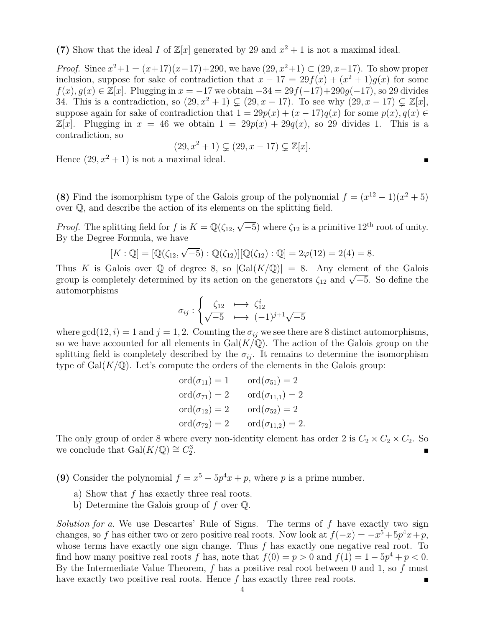(7) Show that the ideal *I* of  $\mathbb{Z}[x]$  generated by 29 and  $x^2 + 1$  is not a maximal ideal.

*Proof.* Since  $x^2 + 1 = (x+17)(x-17)+290$ , we have  $(29, x^2+1) \subset (29, x-17)$ . To show proper inclusion, suppose for sake of contradiction that  $x - 17 = 29f(x) + (x^2 + 1)g(x)$  for some *f*(*x*)*, g*(*x*) ∈  $\mathbb{Z}[x]$ . Plugging in  $x = -17$  we obtain  $-34 = 29f(-17) + 290g(-17)$ , so 29 divides 34. This is a contradiction, so  $(29, x^2 + 1) \subsetneq (29, x - 17)$ . To see why  $(29, x - 17) \subsetneq \mathbb{Z}[x]$ , suppose again for sake of contradiction that  $1 = 29p(x) + (x - 17)q(x)$  for some  $p(x)$ ,  $q(x) \in$  $\mathbb{Z}[x]$ . Plugging in  $x = 46$  we obtain  $1 = 29p(x) + 29q(x)$ , so 29 divides 1. This is a contradiction, so

$$
(29, x^2 + 1) \subsetneq (29, x - 17) \subsetneq \mathbb{Z}[x].
$$

Hence  $(29, x^2 + 1)$  is not a maximal ideal.

**(8)** Find the isomorphism type of the Galois group of the polynomial  $f = (x^{12} - 1)(x^2 + 5)$ over Q, and describe the action of its elements on the splitting field.

*Proof.* The splitting field for *f* is  $K = \mathbb{Q}(\zeta_{12}, \sqrt{2})$  $\overline{-5}$ ) where  $\zeta_{12}$  is a primitive  $12^{\text{th}}$  root of unity. By the Degree Formula, we have

$$
[K:\mathbb{Q}] = [\mathbb{Q}(\zeta_{12}, \sqrt{-5}):\mathbb{Q}(\zeta_{12})][\mathbb{Q}(\zeta_{12}):\mathbb{Q}] = 2\varphi(12) = 2(4) = 8.
$$

Thus *K* is Galois over  $\mathbb{Q}$  of degree 8, so  $|Gal(K/\mathbb{Q})| = 8$ . Any element of the Galois Thus A is Galois over  $\psi$  or degree 8, so  $|\text{Gal}(A/\psi)| = 8$ . Any element or the Galois group is completely determined by its action on the generators  $\zeta_{12}$  and  $\sqrt{-5}$ . So define the automorphisms

$$
\sigma_{ij} : \begin{cases} \zeta_{12} & \longmapsto \zeta_{12}^i \\ \sqrt{-5} & \longmapsto (-1)^{j+1} \sqrt{-5} \end{cases}
$$

where  $gcd(12, i) = 1$  and  $j = 1, 2$ . Counting the  $\sigma_{ij}$  we see there are 8 distinct automorphisms, so we have accounted for all elements in  $Gal(K/\mathbb{Q})$ . The action of the Galois group on the splitting field is completely described by the  $\sigma_{ij}$ . It remains to determine the isomorphism type of  $Gal(K/\mathbb{Q})$ . Let's compute the orders of the elements in the Galois group:

$$
ord(\sigma_{11}) = 1 \qquad ord(\sigma_{51}) = 2
$$
  
\n
$$
ord(\sigma_{71}) = 2 \qquad ord(\sigma_{11,1}) = 2
$$
  
\n
$$
ord(\sigma_{12}) = 2 \qquad ord(\sigma_{52}) = 2
$$
  
\n
$$
ord(\sigma_{72}) = 2 \qquad ord(\sigma_{11,2}) = 2.
$$

The only group of order 8 where every non-identity element has order 2 is  $C_2 \times C_2 \times C_2$ . So we conclude that  $Gal(K/\mathbb{Q}) \cong C_2^3$ .

**(9)** Consider the polynomial  $f = x^5 - 5p^4x + p$ , where *p* is a prime number.

- a) Show that *f* has exactly three real roots.
- b) Determine the Galois group of *f* over Q.

*Solution for a.* We use Descartes' Rule of Signs. The terms of *f* have exactly two sign changes, so *f* has either two or zero positive real roots. Now look at  $f(-x) = -x^5 + 5p^4x + p$ , whose terms have exactly one sign change. Thus *f* has exactly one negative real root. To find how many positive real roots *f* has, note that  $f(0) = p > 0$  and  $f(1) = 1 - 5p^4 + p < 0$ . By the Intermediate Value Theorem, *f* has a positive real root between 0 and 1, so *f* must have exactly two positive real roots. Hence *f* has exactly three real roots.